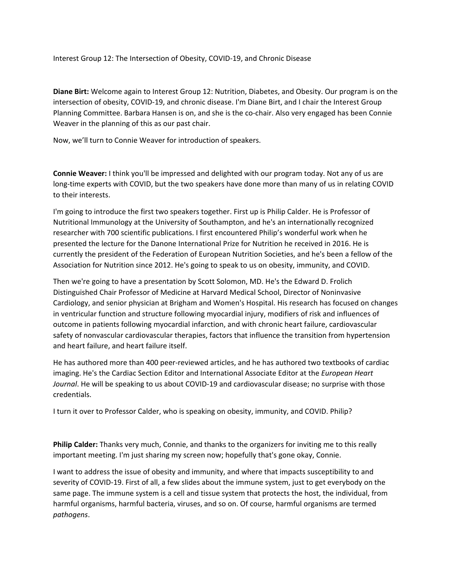Interest Group 12: The Intersection of Obesity, COVID‐19, and Chronic Disease

**Diane Birt:** Welcome again to Interest Group 12: Nutrition, Diabetes, and Obesity. Our program is on the intersection of obesity, COVID‐19, and chronic disease. I'm Diane Birt, and I chair the Interest Group Planning Committee. Barbara Hansen is on, and she is the co‐chair. Also very engaged has been Connie Weaver in the planning of this as our past chair.

Now, we'll turn to Connie Weaver for introduction of speakers.

**Connie Weaver:** I think you'll be impressed and delighted with our program today. Not any of us are long-time experts with COVID, but the two speakers have done more than many of us in relating COVID to their interests.

I'm going to introduce the first two speakers together. First up is Philip Calder. He is Professor of Nutritional Immunology at the University of Southampton, and he's an internationally recognized researcher with 700 scientific publications. I first encountered Philip's wonderful work when he presented the lecture for the Danone International Prize for Nutrition he received in 2016. He is currently the president of the Federation of European Nutrition Societies, and he's been a fellow of the Association for Nutrition since 2012. He's going to speak to us on obesity, immunity, and COVID.

Then we're going to have a presentation by Scott Solomon, MD. He's the Edward D. Frolich Distinguished Chair Professor of Medicine at Harvard Medical School, Director of Noninvasive Cardiology, and senior physician at Brigham and Women's Hospital. His research has focused on changes in ventricular function and structure following myocardial injury, modifiers of risk and influences of outcome in patients following myocardial infarction, and with chronic heart failure, cardiovascular safety of nonvascular cardiovascular therapies, factors that influence the transition from hypertension and heart failure, and heart failure itself.

He has authored more than 400 peer-reviewed articles, and he has authored two textbooks of cardiac imaging. He's the Cardiac Section Editor and International Associate Editor at the *European Heart Journal*. He will be speaking to us about COVID‐19 and cardiovascular disease; no surprise with those credentials.

I turn it over to Professor Calder, who is speaking on obesity, immunity, and COVID. Philip?

**Philip Calder:** Thanks very much, Connie, and thanks to the organizers for inviting me to this really important meeting. I'm just sharing my screen now; hopefully that's gone okay, Connie.

I want to address the issue of obesity and immunity, and where that impacts susceptibility to and severity of COVID‐19. First of all, a few slides about the immune system, just to get everybody on the same page. The immune system is a cell and tissue system that protects the host, the individual, from harmful organisms, harmful bacteria, viruses, and so on. Of course, harmful organisms are termed *pathogens*.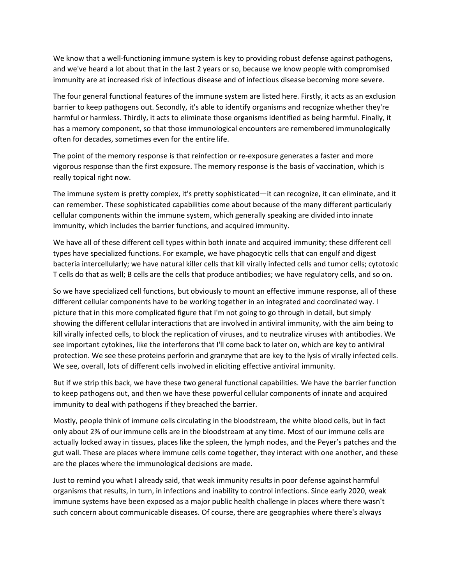We know that a well-functioning immune system is key to providing robust defense against pathogens, and we've heard a lot about that in the last 2 years or so, because we know people with compromised immunity are at increased risk of infectious disease and of infectious disease becoming more severe.

The four general functional features of the immune system are listed here. Firstly, it acts as an exclusion barrier to keep pathogens out. Secondly, it's able to identify organisms and recognize whether they're harmful or harmless. Thirdly, it acts to eliminate those organisms identified as being harmful. Finally, it has a memory component, so that those immunological encounters are remembered immunologically often for decades, sometimes even for the entire life.

The point of the memory response is that reinfection or re-exposure generates a faster and more vigorous response than the first exposure. The memory response is the basis of vaccination, which is really topical right now.

The immune system is pretty complex, it's pretty sophisticated—it can recognize, it can eliminate, and it can remember. These sophisticated capabilities come about because of the many different particularly cellular components within the immune system, which generally speaking are divided into innate immunity, which includes the barrier functions, and acquired immunity.

We have all of these different cell types within both innate and acquired immunity; these different cell types have specialized functions. For example, we have phagocytic cells that can engulf and digest bacteria intercellularly; we have natural killer cells that kill virally infected cells and tumor cells; cytotoxic T cells do that as well; B cells are the cells that produce antibodies; we have regulatory cells, and so on.

So we have specialized cell functions, but obviously to mount an effective immune response, all of these different cellular components have to be working together in an integrated and coordinated way. I picture that in this more complicated figure that I'm not going to go through in detail, but simply showing the different cellular interactions that are involved in antiviral immunity, with the aim being to kill virally infected cells, to block the replication of viruses, and to neutralize viruses with antibodies. We see important cytokines, like the interferons that I'll come back to later on, which are key to antiviral protection. We see these proteins perforin and granzyme that are key to the lysis of virally infected cells. We see, overall, lots of different cells involved in eliciting effective antiviral immunity.

But if we strip this back, we have these two general functional capabilities. We have the barrier function to keep pathogens out, and then we have these powerful cellular components of innate and acquired immunity to deal with pathogens if they breached the barrier.

Mostly, people think of immune cells circulating in the bloodstream, the white blood cells, but in fact only about 2% of our immune cells are in the bloodstream at any time. Most of our immune cells are actually locked away in tissues, places like the spleen, the lymph nodes, and the Peyer's patches and the gut wall. These are places where immune cells come together, they interact with one another, and these are the places where the immunological decisions are made.

Just to remind you what I already said, that weak immunity results in poor defense against harmful organisms that results, in turn, in infections and inability to control infections. Since early 2020, weak immune systems have been exposed as a major public health challenge in places where there wasn't such concern about communicable diseases. Of course, there are geographies where there's always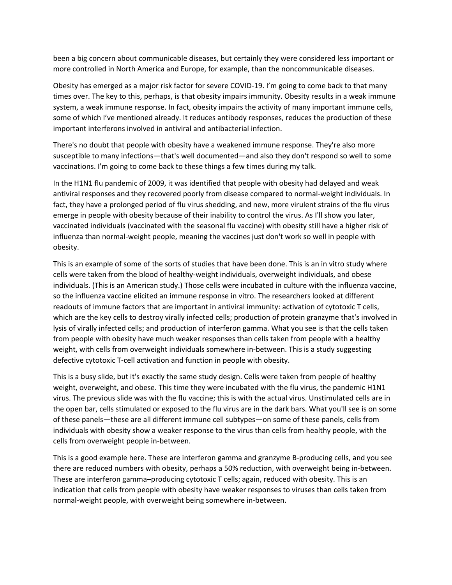been a big concern about communicable diseases, but certainly they were considered less important or more controlled in North America and Europe, for example, than the noncommunicable diseases.

Obesity has emerged as a major risk factor for severe COVID‐19. I'm going to come back to that many times over. The key to this, perhaps, is that obesity impairs immunity. Obesity results in a weak immune system, a weak immune response. In fact, obesity impairs the activity of many important immune cells, some of which I've mentioned already. It reduces antibody responses, reduces the production of these important interferons involved in antiviral and antibacterial infection.

There's no doubt that people with obesity have a weakened immune response. They're also more susceptible to many infections—that's well documented—and also they don't respond so well to some vaccinations. I'm going to come back to these things a few times during my talk.

In the H1N1 flu pandemic of 2009, it was identified that people with obesity had delayed and weak antiviral responses and they recovered poorly from disease compared to normal‐weight individuals. In fact, they have a prolonged period of flu virus shedding, and new, more virulent strains of the flu virus emerge in people with obesity because of their inability to control the virus. As I'll show you later, vaccinated individuals (vaccinated with the seasonal flu vaccine) with obesity still have a higher risk of influenza than normal‐weight people, meaning the vaccines just don't work so well in people with obesity.

This is an example of some of the sorts of studies that have been done. This is an in vitro study where cells were taken from the blood of healthy‐weight individuals, overweight individuals, and obese individuals. (This is an American study.) Those cells were incubated in culture with the influenza vaccine, so the influenza vaccine elicited an immune response in vitro. The researchers looked at different readouts of immune factors that are important in antiviral immunity: activation of cytotoxic T cells, which are the key cells to destroy virally infected cells; production of protein granzyme that's involved in lysis of virally infected cells; and production of interferon gamma. What you see is that the cells taken from people with obesity have much weaker responses than cells taken from people with a healthy weight, with cells from overweight individuals somewhere in‐between. This is a study suggesting defective cytotoxic T‐cell activation and function in people with obesity.

This is a busy slide, but it's exactly the same study design. Cells were taken from people of healthy weight, overweight, and obese. This time they were incubated with the flu virus, the pandemic H1N1 virus. The previous slide was with the flu vaccine; this is with the actual virus. Unstimulated cells are in the open bar, cells stimulated or exposed to the flu virus are in the dark bars. What you'll see is on some of these panels—these are all different immune cell subtypes—on some of these panels, cells from individuals with obesity show a weaker response to the virus than cells from healthy people, with the cells from overweight people in‐between.

This is a good example here. These are interferon gamma and granzyme B‐producing cells, and you see there are reduced numbers with obesity, perhaps a 50% reduction, with overweight being in‐between. These are interferon gamma–producing cytotoxic T cells; again, reduced with obesity. This is an indication that cells from people with obesity have weaker responses to viruses than cells taken from normal‐weight people, with overweight being somewhere in‐between.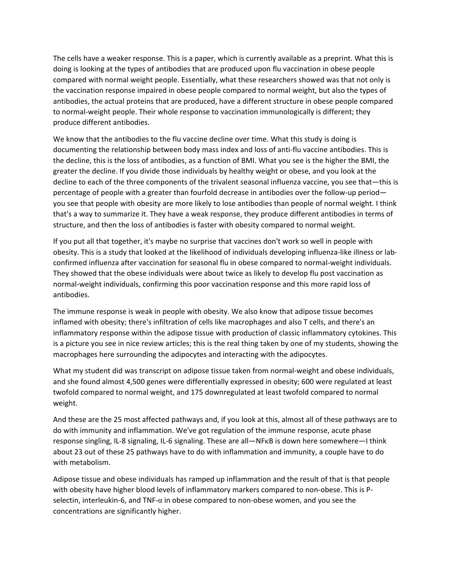The cells have a weaker response. This is a paper, which is currently available as a preprint. What this is doing is looking at the types of antibodies that are produced upon flu vaccination in obese people compared with normal weight people. Essentially, what these researchers showed was that not only is the vaccination response impaired in obese people compared to normal weight, but also the types of antibodies, the actual proteins that are produced, have a different structure in obese people compared to normal‐weight people. Their whole response to vaccination immunologically is different; they produce different antibodies.

We know that the antibodies to the flu vaccine decline over time. What this study is doing is documenting the relationship between body mass index and loss of anti-flu vaccine antibodies. This is the decline, this is the loss of antibodies, as a function of BMI. What you see is the higher the BMI, the greater the decline. If you divide those individuals by healthy weight or obese, and you look at the decline to each of the three components of the trivalent seasonal influenza vaccine, you see that—this is percentage of people with a greater than fourfold decrease in antibodies over the follow‐up period you see that people with obesity are more likely to lose antibodies than people of normal weight. I think that's a way to summarize it. They have a weak response, they produce different antibodies in terms of structure, and then the loss of antibodies is faster with obesity compared to normal weight.

If you put all that together, it's maybe no surprise that vaccines don't work so well in people with obesity. This is a study that looked at the likelihood of individuals developing influenza‐like illness or lab‐ confirmed influenza after vaccination for seasonal flu in obese compared to normal‐weight individuals. They showed that the obese individuals were about twice as likely to develop flu post vaccination as normal‐weight individuals, confirming this poor vaccination response and this more rapid loss of antibodies.

The immune response is weak in people with obesity. We also know that adipose tissue becomes inflamed with obesity; there's infiltration of cells like macrophages and also T cells, and there's an inflammatory response within the adipose tissue with production of classic inflammatory cytokines. This is a picture you see in nice review articles; this is the real thing taken by one of my students, showing the macrophages here surrounding the adipocytes and interacting with the adipocytes.

What my student did was transcript on adipose tissue taken from normal-weight and obese individuals, and she found almost 4,500 genes were differentially expressed in obesity; 600 were regulated at least twofold compared to normal weight, and 175 downregulated at least twofold compared to normal weight.

And these are the 25 most affected pathways and, if you look at this, almost all of these pathways are to do with immunity and inflammation. We've got regulation of the immune response, acute phase response singling, IL‐8 signaling, IL‐6 signaling. These are all—NFκB is down here somewhere—I think about 23 out of these 25 pathways have to do with inflammation and immunity, a couple have to do with metabolism.

Adipose tissue and obese individuals has ramped up inflammation and the result of that is that people with obesity have higher blood levels of inflammatory markers compared to non-obese. This is Pselectin, interleukin-6, and TNF- $\alpha$  in obese compared to non-obese women, and you see the concentrations are significantly higher.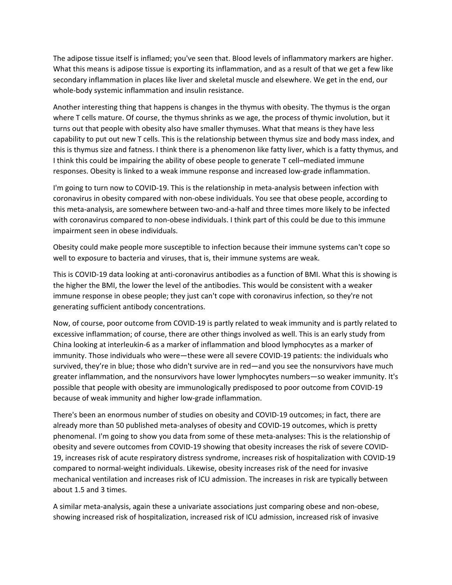The adipose tissue itself is inflamed; you've seen that. Blood levels of inflammatory markers are higher. What this means is adipose tissue is exporting its inflammation, and as a result of that we get a few like secondary inflammation in places like liver and skeletal muscle and elsewhere. We get in the end, our whole-body systemic inflammation and insulin resistance.

Another interesting thing that happens is changes in the thymus with obesity. The thymus is the organ where T cells mature. Of course, the thymus shrinks as we age, the process of thymic involution, but it turns out that people with obesity also have smaller thymuses. What that means is they have less capability to put out new T cells. This is the relationship between thymus size and body mass index, and this is thymus size and fatness. I think there is a phenomenon like fatty liver, which is a fatty thymus, and I think this could be impairing the ability of obese people to generate T cell–mediated immune responses. Obesity is linked to a weak immune response and increased low‐grade inflammation.

I'm going to turn now to COVID‐19. This is the relationship in meta‐analysis between infection with coronavirus in obesity compared with non‐obese individuals. You see that obese people, according to this meta‐analysis, are somewhere between two‐and‐a‐half and three times more likely to be infected with coronavirus compared to non-obese individuals. I think part of this could be due to this immune impairment seen in obese individuals.

Obesity could make people more susceptible to infection because their immune systems can't cope so well to exposure to bacteria and viruses, that is, their immune systems are weak.

This is COVID‐19 data looking at anti‐coronavirus antibodies as a function of BMI. What this is showing is the higher the BMI, the lower the level of the antibodies. This would be consistent with a weaker immune response in obese people; they just can't cope with coronavirus infection, so they're not generating sufficient antibody concentrations.

Now, of course, poor outcome from COVID‐19 is partly related to weak immunity and is partly related to excessive inflammation; of course, there are other things involved as well. This is an early study from China looking at interleukin‐6 as a marker of inflammation and blood lymphocytes as a marker of immunity. Those individuals who were—these were all severe COVID‐19 patients: the individuals who survived, they're in blue; those who didn't survive are in red—and you see the nonsurvivors have much greater inflammation, and the nonsurvivors have lower lymphocytes numbers—so weaker immunity. It's possible that people with obesity are immunologically predisposed to poor outcome from COVID‐19 because of weak immunity and higher low‐grade inflammation.

There's been an enormous number of studies on obesity and COVID‐19 outcomes; in fact, there are already more than 50 published meta-analyses of obesity and COVID-19 outcomes, which is pretty phenomenal. I'm going to show you data from some of these meta‐analyses: This is the relationship of obesity and severe outcomes from COVID‐19 showing that obesity increases the risk of severe COVID‐ 19, increases risk of acute respiratory distress syndrome, increases risk of hospitalization with COVID‐19 compared to normal‐weight individuals. Likewise, obesity increases risk of the need for invasive mechanical ventilation and increases risk of ICU admission. The increases in risk are typically between about 1.5 and 3 times.

A similar meta‐analysis, again these a univariate associations just comparing obese and non‐obese, showing increased risk of hospitalization, increased risk of ICU admission, increased risk of invasive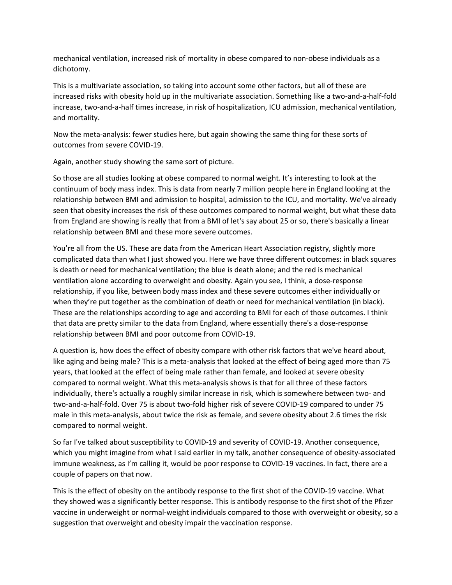mechanical ventilation, increased risk of mortality in obese compared to non‐obese individuals as a dichotomy.

This is a multivariate association, so taking into account some other factors, but all of these are increased risks with obesity hold up in the multivariate association. Something like a two-and-a-half-fold increase, two‐and‐a‐half times increase, in risk of hospitalization, ICU admission, mechanical ventilation, and mortality.

Now the meta‐analysis: fewer studies here, but again showing the same thing for these sorts of outcomes from severe COVID‐19.

Again, another study showing the same sort of picture.

So those are all studies looking at obese compared to normal weight. It's interesting to look at the continuum of body mass index. This is data from nearly 7 million people here in England looking at the relationship between BMI and admission to hospital, admission to the ICU, and mortality. We've already seen that obesity increases the risk of these outcomes compared to normal weight, but what these data from England are showing is really that from a BMI of let's say about 25 or so, there's basically a linear relationship between BMI and these more severe outcomes.

You're all from the US. These are data from the American Heart Association registry, slightly more complicated data than what I just showed you. Here we have three different outcomes: in black squares is death or need for mechanical ventilation; the blue is death alone; and the red is mechanical ventilation alone according to overweight and obesity. Again you see, I think, a dose‐response relationship, if you like, between body mass index and these severe outcomes either individually or when they're put together as the combination of death or need for mechanical ventilation (in black). These are the relationships according to age and according to BMI for each of those outcomes. I think that data are pretty similar to the data from England, where essentially there's a dose‐response relationship between BMI and poor outcome from COVID‐19.

A question is, how does the effect of obesity compare with other risk factors that we've heard about, like aging and being male? This is a meta-analysis that looked at the effect of being aged more than 75 years, that looked at the effect of being male rather than female, and looked at severe obesity compared to normal weight. What this meta‐analysis shows is that for all three of these factors individually, there's actually a roughly similar increase in risk, which is somewhere between two‐ and two‐and‐a‐half‐fold. Over 75 is about two‐fold higher risk of severe COVID‐19 compared to under 75 male in this meta‐analysis, about twice the risk as female, and severe obesity about 2.6 times the risk compared to normal weight.

So far I've talked about susceptibility to COVID‐19 and severity of COVID‐19. Another consequence, which you might imagine from what I said earlier in my talk, another consequence of obesity-associated immune weakness, as I'm calling it, would be poor response to COVID‐19 vaccines. In fact, there are a couple of papers on that now.

This is the effect of obesity on the antibody response to the first shot of the COVID‐19 vaccine. What they showed was a significantly better response. This is antibody response to the first shot of the Pfizer vaccine in underweight or normal‐weight individuals compared to those with overweight or obesity, so a suggestion that overweight and obesity impair the vaccination response.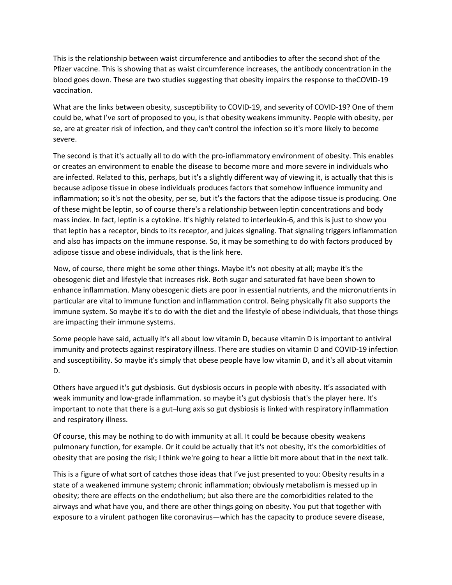This is the relationship between waist circumference and antibodies to after the second shot of the Pfizer vaccine. This is showing that as waist circumference increases, the antibody concentration in the blood goes down. These are two studies suggesting that obesity impairs the response to theCOVID‐19 vaccination.

What are the links between obesity, susceptibility to COVID‐19, and severity of COVID‐19? One of them could be, what I've sort of proposed to you, is that obesity weakens immunity. People with obesity, per se, are at greater risk of infection, and they can't control the infection so it's more likely to become severe.

The second is that it's actually all to do with the pro-inflammatory environment of obesity. This enables or creates an environment to enable the disease to become more and more severe in individuals who are infected. Related to this, perhaps, but it's a slightly different way of viewing it, is actually that this is because adipose tissue in obese individuals produces factors that somehow influence immunity and inflammation; so it's not the obesity, per se, but it's the factors that the adipose tissue is producing. One of these might be leptin, so of course there's a relationship between leptin concentrations and body mass index. In fact, leptin is a cytokine. It's highly related to interleukin‐6, and this is just to show you that leptin has a receptor, binds to its receptor, and juices signaling. That signaling triggers inflammation and also has impacts on the immune response. So, it may be something to do with factors produced by adipose tissue and obese individuals, that is the link here.

Now, of course, there might be some other things. Maybe it's not obesity at all; maybe it's the obesogenic diet and lifestyle that increases risk. Both sugar and saturated fat have been shown to enhance inflammation. Many obesogenic diets are poor in essential nutrients, and the micronutrients in particular are vital to immune function and inflammation control. Being physically fit also supports the immune system. So maybe it's to do with the diet and the lifestyle of obese individuals, that those things are impacting their immune systems.

Some people have said, actually it's all about low vitamin D, because vitamin D is important to antiviral immunity and protects against respiratory illness. There are studies on vitamin D and COVID‐19 infection and susceptibility. So maybe it's simply that obese people have low vitamin D, and it's all about vitamin D.

Others have argued it's gut dysbiosis. Gut dysbiosis occurs in people with obesity. It's associated with weak immunity and low‐grade inflammation. so maybe it's gut dysbiosis that's the player here. It's important to note that there is a gut–lung axis so gut dysbiosis is linked with respiratory inflammation and respiratory illness.

Of course, this may be nothing to do with immunity at all. It could be because obesity weakens pulmonary function, for example. Or it could be actually that it's not obesity, it's the comorbidities of obesity that are posing the risk; I think we're going to hear a little bit more about that in the next talk.

This is a figure of what sort of catches those ideas that I've just presented to you: Obesity results in a state of a weakened immune system; chronic inflammation; obviously metabolism is messed up in obesity; there are effects on the endothelium; but also there are the comorbidities related to the airways and what have you, and there are other things going on obesity. You put that together with exposure to a virulent pathogen like coronavirus—which has the capacity to produce severe disease,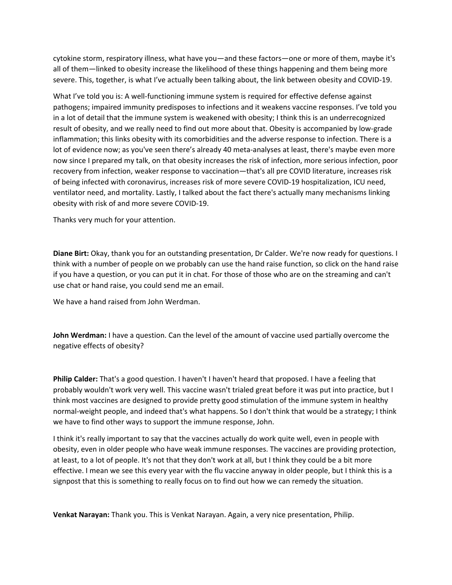cytokine storm, respiratory illness, what have you—and these factors—one or more of them, maybe it's all of them—linked to obesity increase the likelihood of these things happening and them being more severe. This, together, is what I've actually been talking about, the link between obesity and COVID‐19.

What I've told you is: A well-functioning immune system is required for effective defense against pathogens; impaired immunity predisposes to infections and it weakens vaccine responses. I've told you in a lot of detail that the immune system is weakened with obesity; I think this is an underrecognized result of obesity, and we really need to find out more about that. Obesity is accompanied by low‐grade inflammation; this links obesity with its comorbidities and the adverse response to infection. There is a lot of evidence now; as you've seen there's already 40 meta‐analyses at least, there's maybe even more now since I prepared my talk, on that obesity increases the risk of infection, more serious infection, poor recovery from infection, weaker response to vaccination—that's all pre COVID literature, increases risk of being infected with coronavirus, increases risk of more severe COVID-19 hospitalization, ICU need, ventilator need, and mortality. Lastly, I talked about the fact there's actually many mechanisms linking obesity with risk of and more severe COVID‐19.

Thanks very much for your attention.

**Diane Birt:** Okay, thank you for an outstanding presentation, Dr Calder. We're now ready for questions. I think with a number of people on we probably can use the hand raise function, so click on the hand raise if you have a question, or you can put it in chat. For those of those who are on the streaming and can't use chat or hand raise, you could send me an email.

We have a hand raised from John Werdman.

**John Werdman:** I have a question. Can the level of the amount of vaccine used partially overcome the negative effects of obesity?

**Philip Calder:** That's a good question. I haven't I haven't heard that proposed. I have a feeling that probably wouldn't work very well. This vaccine wasn't trialed great before it was put into practice, but I think most vaccines are designed to provide pretty good stimulation of the immune system in healthy normal‐weight people, and indeed that's what happens. So I don't think that would be a strategy; I think we have to find other ways to support the immune response, John.

I think it's really important to say that the vaccines actually do work quite well, even in people with obesity, even in older people who have weak immune responses. The vaccines are providing protection, at least, to a lot of people. It's not that they don't work at all, but I think they could be a bit more effective. I mean we see this every year with the flu vaccine anyway in older people, but I think this is a signpost that this is something to really focus on to find out how we can remedy the situation.

**Venkat Narayan:** Thank you. This is Venkat Narayan. Again, a very nice presentation, Philip.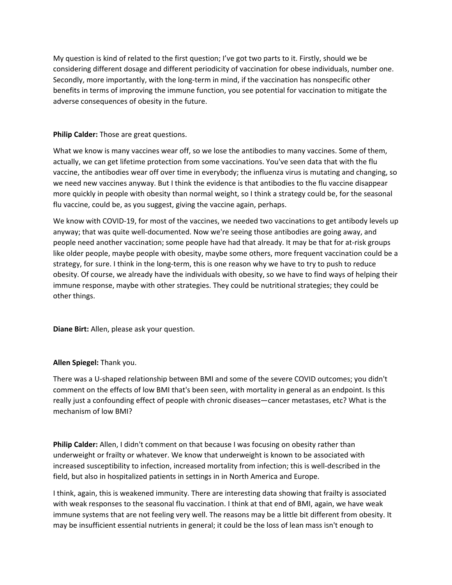My question is kind of related to the first question; I've got two parts to it. Firstly, should we be considering different dosage and different periodicity of vaccination for obese individuals, number one. Secondly, more importantly, with the long‐term in mind, if the vaccination has nonspecific other benefits in terms of improving the immune function, you see potential for vaccination to mitigate the adverse consequences of obesity in the future.

**Philip Calder:** Those are great questions.

What we know is many vaccines wear off, so we lose the antibodies to many vaccines. Some of them, actually, we can get lifetime protection from some vaccinations. You've seen data that with the flu vaccine, the antibodies wear off over time in everybody; the influenza virus is mutating and changing, so we need new vaccines anyway. But I think the evidence is that antibodies to the flu vaccine disappear more quickly in people with obesity than normal weight, so I think a strategy could be, for the seasonal flu vaccine, could be, as you suggest, giving the vaccine again, perhaps.

We know with COVID-19, for most of the vaccines, we needed two vaccinations to get antibody levels up anyway; that was quite well‐documented. Now we're seeing those antibodies are going away, and people need another vaccination; some people have had that already. It may be that for at‐risk groups like older people, maybe people with obesity, maybe some others, more frequent vaccination could be a strategy, for sure. I think in the long-term, this is one reason why we have to try to push to reduce obesity. Of course, we already have the individuals with obesity, so we have to find ways of helping their immune response, maybe with other strategies. They could be nutritional strategies; they could be other things.

**Diane Birt:** Allen, please ask your question.

## **Allen Spiegel:** Thank you.

There was a U‐shaped relationship between BMI and some of the severe COVID outcomes; you didn't comment on the effects of low BMI that's been seen, with mortality in general as an endpoint. Is this really just a confounding effect of people with chronic diseases—cancer metastases, etc? What is the mechanism of low BMI?

**Philip Calder:** Allen, I didn't comment on that because I was focusing on obesity rather than underweight or frailty or whatever. We know that underweight is known to be associated with increased susceptibility to infection, increased mortality from infection; this is well‐described in the field, but also in hospitalized patients in settings in in North America and Europe.

I think, again, this is weakened immunity. There are interesting data showing that frailty is associated with weak responses to the seasonal flu vaccination. I think at that end of BMI, again, we have weak immune systems that are not feeling very well. The reasons may be a little bit different from obesity. It may be insufficient essential nutrients in general; it could be the loss of lean mass isn't enough to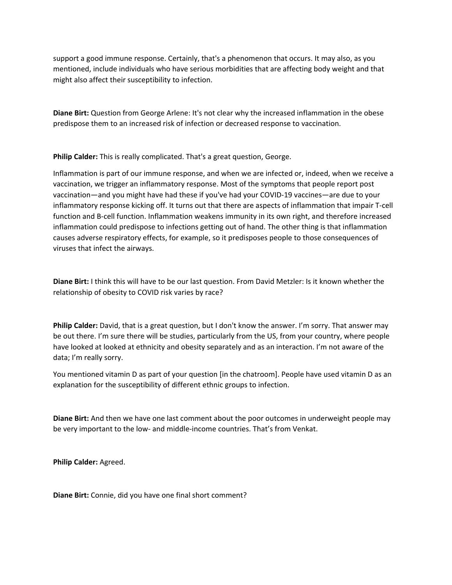support a good immune response. Certainly, that's a phenomenon that occurs. It may also, as you mentioned, include individuals who have serious morbidities that are affecting body weight and that might also affect their susceptibility to infection.

**Diane Birt:** Question from George Arlene: It's not clear why the increased inflammation in the obese predispose them to an increased risk of infection or decreased response to vaccination.

**Philip Calder:** This is really complicated. That's a great question, George.

Inflammation is part of our immune response, and when we are infected or, indeed, when we receive a vaccination, we trigger an inflammatory response. Most of the symptoms that people report post vaccination—and you might have had these if you've had your COVID‐19 vaccines—are due to your inflammatory response kicking off. It turns out that there are aspects of inflammation that impair T‐cell function and B‐cell function. Inflammation weakens immunity in its own right, and therefore increased inflammation could predispose to infections getting out of hand. The other thing is that inflammation causes adverse respiratory effects, for example, so it predisposes people to those consequences of viruses that infect the airways.

**Diane Birt:** I think this will have to be our last question. From David Metzler: Is it known whether the relationship of obesity to COVID risk varies by race?

**Philip Calder:** David, that is a great question, but I don't know the answer. I'm sorry. That answer may be out there. I'm sure there will be studies, particularly from the US, from your country, where people have looked at looked at ethnicity and obesity separately and as an interaction. I'm not aware of the data; I'm really sorry.

You mentioned vitamin D as part of your question [in the chatroom]. People have used vitamin D as an explanation for the susceptibility of different ethnic groups to infection.

**Diane Birt:** And then we have one last comment about the poor outcomes in underweight people may be very important to the low‐ and middle‐income countries. That's from Venkat.

**Philip Calder:** Agreed.

**Diane Birt:** Connie, did you have one final short comment?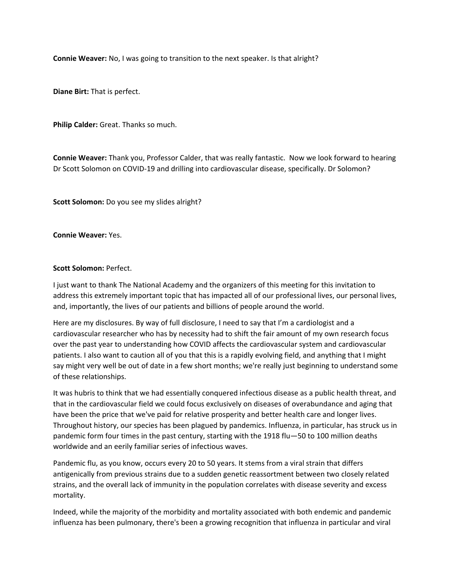**Connie Weaver:** No, I was going to transition to the next speaker. Is that alright?

**Diane Birt:** That is perfect.

**Philip Calder:** Great. Thanks so much.

**Connie Weaver:** Thank you, Professor Calder, that was really fantastic. Now we look forward to hearing Dr Scott Solomon on COVID‐19 and drilling into cardiovascular disease, specifically. Dr Solomon?

**Scott Solomon:** Do you see my slides alright?

**Connie Weaver:** Yes.

## **Scott Solomon:** Perfect.

I just want to thank The National Academy and the organizers of this meeting for this invitation to address this extremely important topic that has impacted all of our professional lives, our personal lives, and, importantly, the lives of our patients and billions of people around the world.

Here are my disclosures. By way of full disclosure, I need to say that I'm a cardiologist and a cardiovascular researcher who has by necessity had to shift the fair amount of my own research focus over the past year to understanding how COVID affects the cardiovascular system and cardiovascular patients. I also want to caution all of you that this is a rapidly evolving field, and anything that I might say might very well be out of date in a few short months; we're really just beginning to understand some of these relationships.

It was hubris to think that we had essentially conquered infectious disease as a public health threat, and that in the cardiovascular field we could focus exclusively on diseases of overabundance and aging that have been the price that we've paid for relative prosperity and better health care and longer lives. Throughout history, our species has been plagued by pandemics. Influenza, in particular, has struck us in pandemic form four times in the past century, starting with the 1918 flu—50 to 100 million deaths worldwide and an eerily familiar series of infectious waves.

Pandemic flu, as you know, occurs every 20 to 50 years. It stems from a viral strain that differs antigenically from previous strains due to a sudden genetic reassortment between two closely related strains, and the overall lack of immunity in the population correlates with disease severity and excess mortality.

Indeed, while the majority of the morbidity and mortality associated with both endemic and pandemic influenza has been pulmonary, there's been a growing recognition that influenza in particular and viral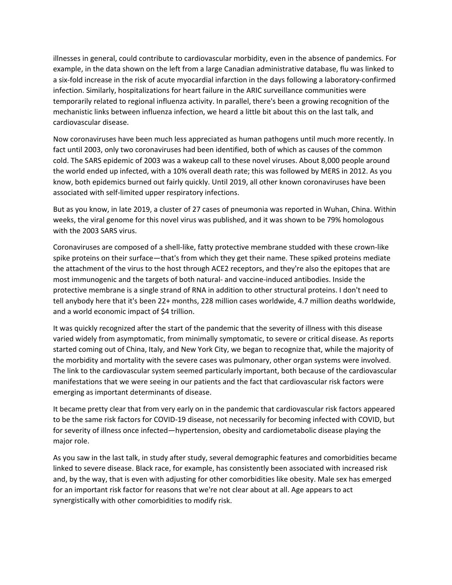illnesses in general, could contribute to cardiovascular morbidity, even in the absence of pandemics. For example, in the data shown on the left from a large Canadian administrative database, flu was linked to a six‐fold increase in the risk of acute myocardial infarction in the days following a laboratory‐confirmed infection. Similarly, hospitalizations for heart failure in the ARIC surveillance communities were temporarily related to regional influenza activity. In parallel, there's been a growing recognition of the mechanistic links between influenza infection, we heard a little bit about this on the last talk, and cardiovascular disease.

Now coronaviruses have been much less appreciated as human pathogens until much more recently. In fact until 2003, only two coronaviruses had been identified, both of which as causes of the common cold. The SARS epidemic of 2003 was a wakeup call to these novel viruses. About 8,000 people around the world ended up infected, with a 10% overall death rate; this was followed by MERS in 2012. As you know, both epidemics burned out fairly quickly. Until 2019, all other known coronaviruses have been associated with self‐limited upper respiratory infections.

But as you know, in late 2019, a cluster of 27 cases of pneumonia was reported in Wuhan, China. Within weeks, the viral genome for this novel virus was published, and it was shown to be 79% homologous with the 2003 SARS virus.

Coronaviruses are composed of a shell‐like, fatty protective membrane studded with these crown‐like spike proteins on their surface—that's from which they get their name. These spiked proteins mediate the attachment of the virus to the host through ACE2 receptors, and they're also the epitopes that are most immunogenic and the targets of both natural‐ and vaccine‐induced antibodies. Inside the protective membrane is a single strand of RNA in addition to other structural proteins. I don't need to tell anybody here that it's been 22+ months, 228 million cases worldwide, 4.7 million deaths worldwide, and a world economic impact of \$4 trillion.

It was quickly recognized after the start of the pandemic that the severity of illness with this disease varied widely from asymptomatic, from minimally symptomatic, to severe or critical disease. As reports started coming out of China, Italy, and New York City, we began to recognize that, while the majority of the morbidity and mortality with the severe cases was pulmonary, other organ systems were involved. The link to the cardiovascular system seemed particularly important, both because of the cardiovascular manifestations that we were seeing in our patients and the fact that cardiovascular risk factors were emerging as important determinants of disease.

It became pretty clear that from very early on in the pandemic that cardiovascular risk factors appeared to be the same risk factors for COVID‐19 disease, not necessarily for becoming infected with COVID, but for severity of illness once infected—hypertension, obesity and cardiometabolic disease playing the major role.

As you saw in the last talk, in study after study, several demographic features and comorbidities became linked to severe disease. Black race, for example, has consistently been associated with increased risk and, by the way, that is even with adjusting for other comorbidities like obesity. Male sex has emerged for an important risk factor for reasons that we're not clear about at all. Age appears to act synergistically with other comorbidities to modify risk.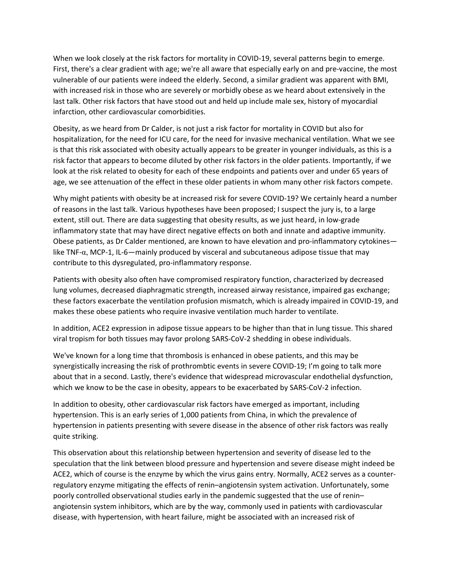When we look closely at the risk factors for mortality in COVID-19, several patterns begin to emerge. First, there's a clear gradient with age; we're all aware that especially early on and pre‐vaccine, the most vulnerable of our patients were indeed the elderly. Second, a similar gradient was apparent with BMI, with increased risk in those who are severely or morbidly obese as we heard about extensively in the last talk. Other risk factors that have stood out and held up include male sex, history of myocardial infarction, other cardiovascular comorbidities.

Obesity, as we heard from Dr Calder, is not just a risk factor for mortality in COVID but also for hospitalization, for the need for ICU care, for the need for invasive mechanical ventilation. What we see is that this risk associated with obesity actually appears to be greater in younger individuals, as this is a risk factor that appears to become diluted by other risk factors in the older patients. Importantly, if we look at the risk related to obesity for each of these endpoints and patients over and under 65 years of age, we see attenuation of the effect in these older patients in whom many other risk factors compete.

Why might patients with obesity be at increased risk for severe COVID‐19? We certainly heard a number of reasons in the last talk. Various hypotheses have been proposed; I suspect the jury is, to a large extent, still out. There are data suggesting that obesity results, as we just heard, in low-grade inflammatory state that may have direct negative effects on both and innate and adaptive immunity. Obese patients, as Dr Calder mentioned, are known to have elevation and pro-inflammatory cytokines like TNF- $\alpha$ , MCP-1, IL-6—mainly produced by visceral and subcutaneous adipose tissue that may contribute to this dysregulated, pro‐inflammatory response.

Patients with obesity also often have compromised respiratory function, characterized by decreased lung volumes, decreased diaphragmatic strength, increased airway resistance, impaired gas exchange; these factors exacerbate the ventilation profusion mismatch, which is already impaired in COVID‐19, and makes these obese patients who require invasive ventilation much harder to ventilate.

In addition, ACE2 expression in adipose tissue appears to be higher than that in lung tissue. This shared viral tropism for both tissues may favor prolong SARS‐CoV‐2 shedding in obese individuals.

We've known for a long time that thrombosis is enhanced in obese patients, and this may be synergistically increasing the risk of prothrombtic events in severe COVID-19; I'm going to talk more about that in a second. Lastly, there's evidence that widespread microvascular endothelial dysfunction, which we know to be the case in obesity, appears to be exacerbated by SARS-CoV-2 infection.

In addition to obesity, other cardiovascular risk factors have emerged as important, including hypertension. This is an early series of 1,000 patients from China, in which the prevalence of hypertension in patients presenting with severe disease in the absence of other risk factors was really quite striking.

This observation about this relationship between hypertension and severity of disease led to the speculation that the link between blood pressure and hypertension and severe disease might indeed be ACE2, which of course is the enzyme by which the virus gains entry. Normally, ACE2 serves as a counter‐ regulatory enzyme mitigating the effects of renin–angiotensin system activation. Unfortunately, some poorly controlled observational studies early in the pandemic suggested that the use of renin– angiotensin system inhibitors, which are by the way, commonly used in patients with cardiovascular disease, with hypertension, with heart failure, might be associated with an increased risk of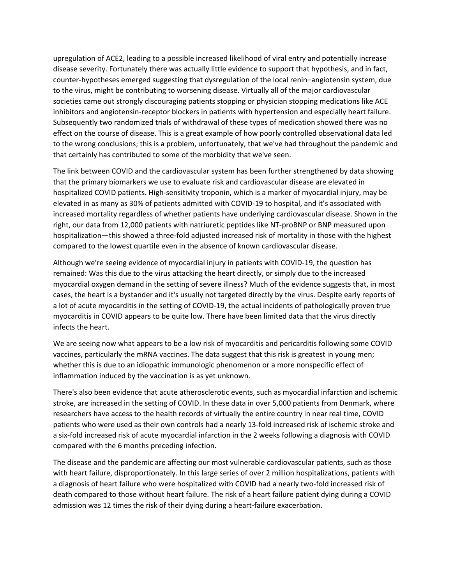upregulation of ACE2, leading to a possible increased likelihood of viral entry and potentially increase disease severity. Fortunately there was actually little evidence to support that hypothesis, and in fact, counter‐hypotheses emerged suggesting that dysregulation of the local renin–angiotensin system, due to the virus, might be contributing to worsening disease. Virtually all of the major cardiovascular societies came out strongly discouraging patients stopping or physician stopping medications like ACE inhibitors and angiotensin‐receptor blockers in patients with hypertension and especially heart failure. Subsequently two randomized trials of withdrawal of these types of medication showed there was no effect on the course of disease. This is a great example of how poorly controlled observational data led to the wrong conclusions; this is a problem, unfortunately, that we've had throughout the pandemic and that certainly has contributed to some of the morbidity that we've seen.

The link between COVID and the cardiovascular system has been further strengthened by data showing that the primary biomarkers we use to evaluate risk and cardiovascular disease are elevated in hospitalized COVID patients. High‐sensitivity troponin, which is a marker of myocardial injury, may be elevated in as many as 30% of patients admitted with COVID‐19 to hospital, and it's associated with increased mortality regardless of whether patients have underlying cardiovascular disease. Shown in the right, our data from 12,000 patients with natriuretic peptides like NT‐proBNP or BNP measured upon hospitalization—this showed a three-fold adjusted increased risk of mortality in those with the highest compared to the lowest quartile even in the absence of known cardiovascular disease.

Although we're seeing evidence of myocardial injury in patients with COVID‐19, the question has remained: Was this due to the virus attacking the heart directly, or simply due to the increased myocardial oxygen demand in the setting of severe illness? Much of the evidence suggests that, in most cases, the heart is a bystander and it's usually not targeted directly by the virus. Despite early reports of a lot of acute myocarditis in the setting of COVID‐19, the actual incidents of pathologically proven true myocarditis in COVID appears to be quite low. There have been limited data that the virus directly infects the heart.

We are seeing now what appears to be a low risk of myocarditis and pericarditis following some COVID vaccines, particularly the mRNA vaccines. The data suggest that this risk is greatest in young men; whether this is due to an idiopathic immunologic phenomenon or a more nonspecific effect of inflammation induced by the vaccination is as yet unknown.

There's also been evidence that acute atherosclerotic events, such as myocardial infarction and ischemic stroke, are increased in the setting of COVID. In these data in over 5,000 patients from Denmark, where researchers have access to the health records of virtually the entire country in near real time, COVID patients who were used as their own controls had a nearly 13‐fold increased risk of ischemic stroke and a six‐fold increased risk of acute myocardial infarction in the 2 weeks following a diagnosis with COVID compared with the 6 months preceding infection.

The disease and the pandemic are affecting our most vulnerable cardiovascular patients, such as those with heart failure, disproportionately. In this large series of over 2 million hospitalizations, patients with a diagnosis of heart failure who were hospitalized with COVID had a nearly two-fold increased risk of death compared to those without heart failure. The risk of a heart failure patient dying during a COVID admission was 12 times the risk of their dying during a heart-failure exacerbation.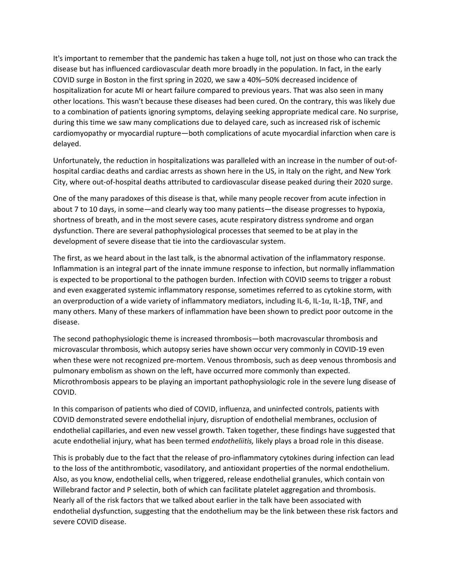It's important to remember that the pandemic has taken a huge toll, not just on those who can track the disease but has influenced cardiovascular death more broadly in the population. In fact, in the early COVID surge in Boston in the first spring in 2020, we saw a 40%–50% decreased incidence of hospitalization for acute MI or heart failure compared to previous years. That was also seen in many other locations. This wasn't because these diseases had been cured. On the contrary, this was likely due to a combination of patients ignoring symptoms, delaying seeking appropriate medical care. No surprise, during this time we saw many complications due to delayed care, such as increased risk of ischemic cardiomyopathy or myocardial rupture—both complications of acute myocardial infarction when care is delayed.

Unfortunately, the reduction in hospitalizations was paralleled with an increase in the number of out‐of‐ hospital cardiac deaths and cardiac arrests as shown here in the US, in Italy on the right, and New York City, where out‐of‐hospital deaths attributed to cardiovascular disease peaked during their 2020 surge.

One of the many paradoxes of this disease is that, while many people recover from acute infection in about 7 to 10 days, in some—and clearly way too many patients—the disease progresses to hypoxia, shortness of breath, and in the most severe cases, acute respiratory distress syndrome and organ dysfunction. There are several pathophysiological processes that seemed to be at play in the development of severe disease that tie into the cardiovascular system.

The first, as we heard about in the last talk, is the abnormal activation of the inflammatory response. Inflammation is an integral part of the innate immune response to infection, but normally inflammation is expected to be proportional to the pathogen burden. Infection with COVID seems to trigger a robust and even exaggerated systemic inflammatory response, sometimes referred to as cytokine storm, with an overproduction of a wide variety of inflammatory mediators, including IL-6, IL-1 $\alpha$ , IL-1 $\beta$ , TNF, and many others. Many of these markers of inflammation have been shown to predict poor outcome in the disease.

The second pathophysiologic theme is increased thrombosis—both macrovascular thrombosis and microvascular thrombosis, which autopsy series have shown occur very commonly in COVID‐19 even when these were not recognized pre-mortem. Venous thrombosis, such as deep venous thrombosis and pulmonary embolism as shown on the left, have occurred more commonly than expected. Microthrombosis appears to be playing an important pathophysiologic role in the severe lung disease of COVID.

In this comparison of patients who died of COVID, influenza, and uninfected controls, patients with COVID demonstrated severe endothelial injury, disruption of endothelial membranes, occlusion of endothelial capillaries, and even new vessel growth. Taken together, these findings have suggested that acute endothelial injury, what has been termed *endotheliitis,* likely plays a broad role in this disease.

This is probably due to the fact that the release of pro-inflammatory cytokines during infection can lead to the loss of the antithrombotic, vasodilatory, and antioxidant properties of the normal endothelium. Also, as you know, endothelial cells, when triggered, release endothelial granules, which contain von Willebrand factor and P selectin, both of which can facilitate platelet aggregation and thrombosis. Nearly all of the risk factors that we talked about earlier in the talk have been associated with endothelial dysfunction, suggesting that the endothelium may be the link between these risk factors and severe COVID disease.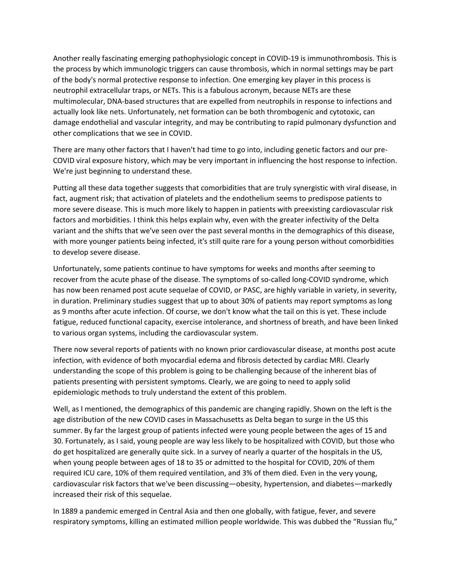Another really fascinating emerging pathophysiologic concept in COVID‐19 is immunothrombosis. This is the process by which immunologic triggers can cause thrombosis, which in normal settings may be part of the body's normal protective response to infection. One emerging key player in this process is neutrophil extracellular traps, or NETs. This is a fabulous acronym, because NETs are these multimolecular, DNA‐based structures that are expelled from neutrophils in response to infections and actually look like nets. Unfortunately, net formation can be both thrombogenic and cytotoxic, can damage endothelial and vascular integrity, and may be contributing to rapid pulmonary dysfunction and other complications that we see in COVID.

There are many other factors that I haven't had time to go into, including genetic factors and our pre‐ COVID viral exposure history, which may be very important in influencing the host response to infection. We're just beginning to understand these.

Putting all these data together suggests that comorbidities that are truly synergistic with viral disease, in fact, augment risk; that activation of platelets and the endothelium seems to predispose patients to more severe disease. This is much more likely to happen in patients with preexisting cardiovascular risk factors and morbidities. I think this helps explain why, even with the greater infectivity of the Delta variant and the shifts that we've seen over the past several months in the demographics of this disease, with more younger patients being infected, it's still quite rare for a young person without comorbidities to develop severe disease.

Unfortunately, some patients continue to have symptoms for weeks and months after seeming to recover from the acute phase of the disease. The symptoms of so-called long-COVID syndrome, which has now been renamed post acute sequelae of COVID, or PASC, are highly variable in variety, in severity, in duration. Preliminary studies suggest that up to about 30% of patients may report symptoms as long as 9 months after acute infection. Of course, we don't know what the tail on this is yet. These include fatigue, reduced functional capacity, exercise intolerance, and shortness of breath, and have been linked to various organ systems, including the cardiovascular system.

There now several reports of patients with no known prior cardiovascular disease, at months post acute infection, with evidence of both myocardial edema and fibrosis detected by cardiac MRI. Clearly understanding the scope of this problem is going to be challenging because of the inherent bias of patients presenting with persistent symptoms. Clearly, we are going to need to apply solid epidemiologic methods to truly understand the extent of this problem.

Well, as I mentioned, the demographics of this pandemic are changing rapidly. Shown on the left is the age distribution of the new COVID cases in Massachusetts as Delta began to surge in the US this summer. By far the largest group of patients infected were young people between the ages of 15 and 30. Fortunately, as I said, young people are way less likely to be hospitalized with COVID, but those who do get hospitalized are generally quite sick. In a survey of nearly a quarter of the hospitals in the US, when young people between ages of 18 to 35 or admitted to the hospital for COVID, 20% of them required ICU care, 10% of them required ventilation, and 3% of them died. Even in the very young, cardiovascular risk factors that we've been discussing—obesity, hypertension, and diabetes—markedly increased their risk of this sequelae.

In 1889 a pandemic emerged in Central Asia and then one globally, with fatigue, fever, and severe respiratory symptoms, killing an estimated million people worldwide. This was dubbed the "Russian flu,"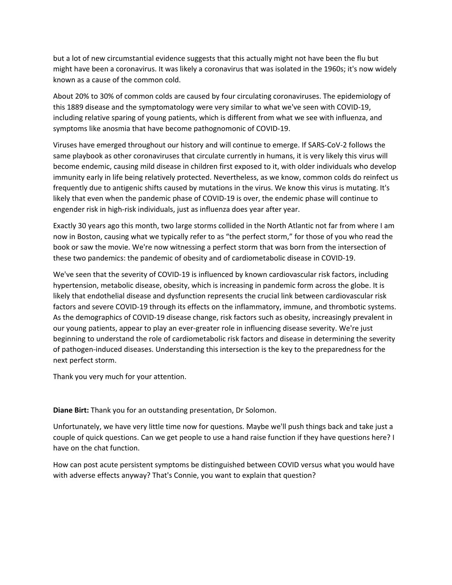but a lot of new circumstantial evidence suggests that this actually might not have been the flu but might have been a coronavirus. It was likely a coronavirus that was isolated in the 1960s; it's now widely known as a cause of the common cold.

About 20% to 30% of common colds are caused by four circulating coronaviruses. The epidemiology of this 1889 disease and the symptomatology were very similar to what we've seen with COVID‐19, including relative sparing of young patients, which is different from what we see with influenza, and symptoms like anosmia that have become pathognomonic of COVID‐19.

Viruses have emerged throughout our history and will continue to emerge. If SARS‐CoV‐2 follows the same playbook as other coronaviruses that circulate currently in humans, it is very likely this virus will become endemic, causing mild disease in children first exposed to it, with older individuals who develop immunity early in life being relatively protected. Nevertheless, as we know, common colds do reinfect us frequently due to antigenic shifts caused by mutations in the virus. We know this virus is mutating. It's likely that even when the pandemic phase of COVID‐19 is over, the endemic phase will continue to engender risk in high-risk individuals, just as influenza does year after year.

Exactly 30 years ago this month, two large storms collided in the North Atlantic not far from where I am now in Boston, causing what we typically refer to as "the perfect storm," for those of you who read the book or saw the movie. We're now witnessing a perfect storm that was born from the intersection of these two pandemics: the pandemic of obesity and of cardiometabolic disease in COVID‐19.

We've seen that the severity of COVID-19 is influenced by known cardiovascular risk factors, including hypertension, metabolic disease, obesity, which is increasing in pandemic form across the globe. It is likely that endothelial disease and dysfunction represents the crucial link between cardiovascular risk factors and severe COVID-19 through its effects on the inflammatory, immune, and thrombotic systems. As the demographics of COVID‐19 disease change, risk factors such as obesity, increasingly prevalent in our young patients, appear to play an ever‐greater role in influencing disease severity. We're just beginning to understand the role of cardiometabolic risk factors and disease in determining the severity of pathogen‐induced diseases. Understanding this intersection is the key to the preparedness for the next perfect storm.

Thank you very much for your attention.

**Diane Birt:** Thank you for an outstanding presentation, Dr Solomon.

Unfortunately, we have very little time now for questions. Maybe we'll push things back and take just a couple of quick questions. Can we get people to use a hand raise function if they have questions here? I have on the chat function.

How can post acute persistent symptoms be distinguished between COVID versus what you would have with adverse effects anyway? That's Connie, you want to explain that question?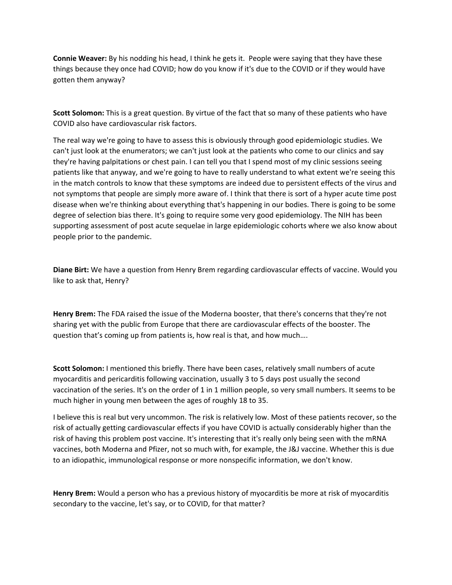**Connie Weaver:** By his nodding his head, I think he gets it. People were saying that they have these things because they once had COVID; how do you know if it's due to the COVID or if they would have gotten them anyway?

**Scott Solomon:** This is a great question. By virtue of the fact that so many of these patients who have COVID also have cardiovascular risk factors.

The real way we're going to have to assess this is obviously through good epidemiologic studies. We can't just look at the enumerators; we can't just look at the patients who come to our clinics and say they're having palpitations or chest pain. I can tell you that I spend most of my clinic sessions seeing patients like that anyway, and we're going to have to really understand to what extent we're seeing this in the match controls to know that these symptoms are indeed due to persistent effects of the virus and not symptoms that people are simply more aware of. I think that there is sort of a hyper acute time post disease when we're thinking about everything that's happening in our bodies. There is going to be some degree of selection bias there. It's going to require some very good epidemiology. The NIH has been supporting assessment of post acute sequelae in large epidemiologic cohorts where we also know about people prior to the pandemic.

**Diane Birt:** We have a question from Henry Brem regarding cardiovascular effects of vaccine. Would you like to ask that, Henry?

**Henry Brem:** The FDA raised the issue of the Moderna booster, that there's concerns that they're not sharing yet with the public from Europe that there are cardiovascular effects of the booster. The question that's coming up from patients is, how real is that, and how much….

**Scott Solomon:** I mentioned this briefly. There have been cases, relatively small numbers of acute myocarditis and pericarditis following vaccination, usually 3 to 5 days post usually the second vaccination of the series. It's on the order of 1 in 1 million people, so very small numbers. It seems to be much higher in young men between the ages of roughly 18 to 35.

I believe this is real but very uncommon. The risk is relatively low. Most of these patients recover, so the risk of actually getting cardiovascular effects if you have COVID is actually considerably higher than the risk of having this problem post vaccine. It's interesting that it's really only being seen with the mRNA vaccines, both Moderna and Pfizer, not so much with, for example, the J&J vaccine. Whether this is due to an idiopathic, immunological response or more nonspecific information, we don't know.

**Henry Brem:** Would a person who has a previous history of myocarditis be more at risk of myocarditis secondary to the vaccine, let's say, or to COVID, for that matter?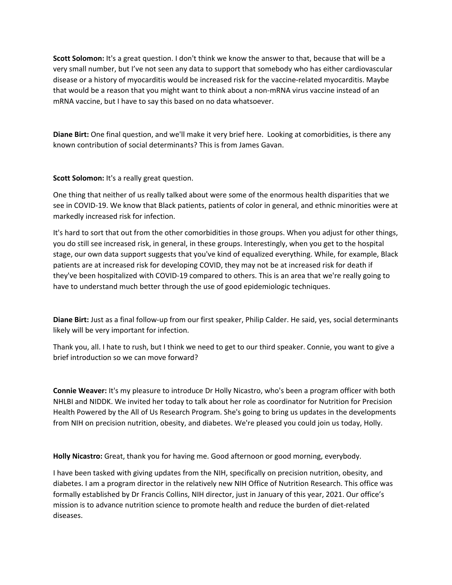**Scott Solomon:** It's a great question. I don't think we know the answer to that, because that will be a very small number, but I've not seen any data to support that somebody who has either cardiovascular disease or a history of myocarditis would be increased risk for the vaccine‐related myocarditis. Maybe that would be a reason that you might want to think about a non‐mRNA virus vaccine instead of an mRNA vaccine, but I have to say this based on no data whatsoever.

**Diane Birt:** One final question, and we'll make it very brief here. Looking at comorbidities, is there any known contribution of social determinants? This is from James Gavan.

**Scott Solomon:** It's a really great question.

One thing that neither of us really talked about were some of the enormous health disparities that we see in COVID‐19. We know that Black patients, patients of color in general, and ethnic minorities were at markedly increased risk for infection.

It's hard to sort that out from the other comorbidities in those groups. When you adjust for other things, you do still see increased risk, in general, in these groups. Interestingly, when you get to the hospital stage, our own data support suggests that you've kind of equalized everything. While, for example, Black patients are at increased risk for developing COVID, they may not be at increased risk for death if they've been hospitalized with COVID‐19 compared to others. This is an area that we're really going to have to understand much better through the use of good epidemiologic techniques.

**Diane Birt:** Just as a final follow‐up from our first speaker, Philip Calder. He said, yes, social determinants likely will be very important for infection.

Thank you, all. I hate to rush, but I think we need to get to our third speaker. Connie, you want to give a brief introduction so we can move forward?

**Connie Weaver:** It's my pleasure to introduce Dr Holly Nicastro, who's been a program officer with both NHLBI and NIDDK. We invited her today to talk about her role as coordinator for Nutrition for Precision Health Powered by the All of Us Research Program. She's going to bring us updates in the developments from NIH on precision nutrition, obesity, and diabetes. We're pleased you could join us today, Holly.

**Holly Nicastro:** Great, thank you for having me. Good afternoon or good morning, everybody.

I have been tasked with giving updates from the NIH, specifically on precision nutrition, obesity, and diabetes. I am a program director in the relatively new NIH Office of Nutrition Research. This office was formally established by Dr Francis Collins, NIH director, just in January of this year, 2021. Our office's mission is to advance nutrition science to promote health and reduce the burden of diet‐related diseases.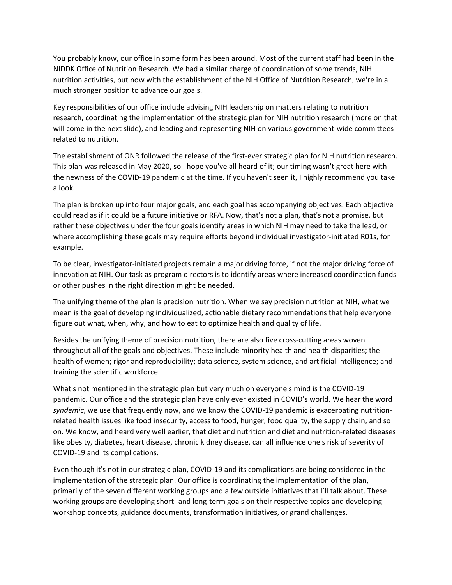You probably know, our office in some form has been around. Most of the current staff had been in the NIDDK Office of Nutrition Research. We had a similar charge of coordination of some trends, NIH nutrition activities, but now with the establishment of the NIH Office of Nutrition Research, we're in a much stronger position to advance our goals.

Key responsibilities of our office include advising NIH leadership on matters relating to nutrition research, coordinating the implementation of the strategic plan for NIH nutrition research (more on that will come in the next slide), and leading and representing NIH on various government-wide committees related to nutrition.

The establishment of ONR followed the release of the first-ever strategic plan for NIH nutrition research. This plan was released in May 2020, so I hope you've all heard of it; our timing wasn't great here with the newness of the COVID‐19 pandemic at the time. If you haven't seen it, I highly recommend you take a look.

The plan is broken up into four major goals, and each goal has accompanying objectives. Each objective could read as if it could be a future initiative or RFA. Now, that's not a plan, that's not a promise, but rather these objectives under the four goals identify areas in which NIH may need to take the lead, or where accomplishing these goals may require efforts beyond individual investigator-initiated R01s, for example.

To be clear, investigator‐initiated projects remain a major driving force, if not the major driving force of innovation at NIH. Our task as program directors is to identify areas where increased coordination funds or other pushes in the right direction might be needed.

The unifying theme of the plan is precision nutrition. When we say precision nutrition at NIH, what we mean is the goal of developing individualized, actionable dietary recommendations that help everyone figure out what, when, why, and how to eat to optimize health and quality of life.

Besides the unifying theme of precision nutrition, there are also five cross-cutting areas woven throughout all of the goals and objectives. These include minority health and health disparities; the health of women; rigor and reproducibility; data science, system science, and artificial intelligence; and training the scientific workforce.

What's not mentioned in the strategic plan but very much on everyone's mind is the COVID‐19 pandemic. Our office and the strategic plan have only ever existed in COVID's world. We hear the word syndemic, we use that frequently now, and we know the COVID-19 pandemic is exacerbating nutritionrelated health issues like food insecurity, access to food, hunger, food quality, the supply chain, and so on. We know, and heard very well earlier, that diet and nutrition and diet and nutrition‐related diseases like obesity, diabetes, heart disease, chronic kidney disease, can all influence one's risk of severity of COVID‐19 and its complications.

Even though it's not in our strategic plan, COVID‐19 and its complications are being considered in the implementation of the strategic plan. Our office is coordinating the implementation of the plan, primarily of the seven different working groups and a few outside initiatives that I'll talk about. These working groups are developing short- and long-term goals on their respective topics and developing workshop concepts, guidance documents, transformation initiatives, or grand challenges.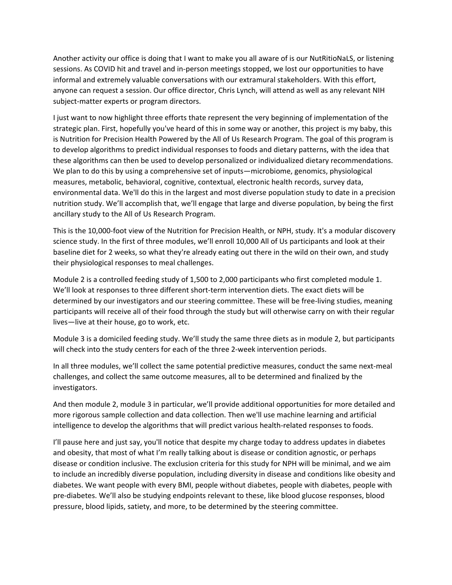Another activity our office is doing that I want to make you all aware of is our NutRitioNaLS, or listening sessions. As COVID hit and travel and in-person meetings stopped, we lost our opportunities to have informal and extremely valuable conversations with our extramural stakeholders. With this effort, anyone can request a session. Our office director, Chris Lynch, will attend as well as any relevant NIH subject-matter experts or program directors.

I just want to now highlight three efforts thate represent the very beginning of implementation of the strategic plan. First, hopefully you've heard of this in some way or another, this project is my baby, this is Nutrition for Precision Health Powered by the All of Us Research Program. The goal of this program is to develop algorithms to predict individual responses to foods and dietary patterns, with the idea that these algorithms can then be used to develop personalized or individualized dietary recommendations. We plan to do this by using a comprehensive set of inputs—microbiome, genomics, physiological measures, metabolic, behavioral, cognitive, contextual, electronic health records, survey data, environmental data. We'll do this in the largest and most diverse population study to date in a precision nutrition study. We'll accomplish that, we'll engage that large and diverse population, by being the first ancillary study to the All of Us Research Program.

This is the 10,000‐foot view of the Nutrition for Precision Health, or NPH, study. It's a modular discovery science study. In the first of three modules, we'll enroll 10,000 All of Us participants and look at their baseline diet for 2 weeks, so what they're already eating out there in the wild on their own, and study their physiological responses to meal challenges.

Module 2 is a controlled feeding study of 1,500 to 2,000 participants who first completed module 1. We'll look at responses to three different short-term intervention diets. The exact diets will be determined by our investigators and our steering committee. These will be free‐living studies, meaning participants will receive all of their food through the study but will otherwise carry on with their regular lives—live at their house, go to work, etc.

Module 3 is a domiciled feeding study. We'll study the same three diets as in module 2, but participants will check into the study centers for each of the three 2‐week intervention periods.

In all three modules, we'll collect the same potential predictive measures, conduct the same next‐meal challenges, and collect the same outcome measures, all to be determined and finalized by the investigators.

And then module 2, module 3 in particular, we'll provide additional opportunities for more detailed and more rigorous sample collection and data collection. Then we'll use machine learning and artificial intelligence to develop the algorithms that will predict various health‐related responses to foods.

I'll pause here and just say, you'll notice that despite my charge today to address updates in diabetes and obesity, that most of what I'm really talking about is disease or condition agnostic, or perhaps disease or condition inclusive. The exclusion criteria for this study for NPH will be minimal, and we aim to include an incredibly diverse population, including diversity in disease and conditions like obesity and diabetes. We want people with every BMI, people without diabetes, people with diabetes, people with pre‐diabetes. We'll also be studying endpoints relevant to these, like blood glucose responses, blood pressure, blood lipids, satiety, and more, to be determined by the steering committee.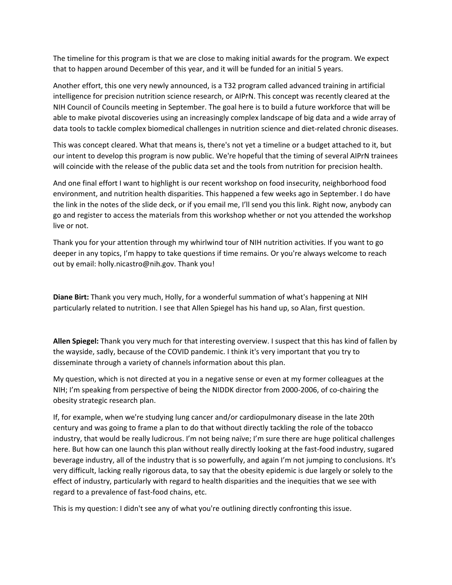The timeline for this program is that we are close to making initial awards for the program. We expect that to happen around December of this year, and it will be funded for an initial 5 years.

Another effort, this one very newly announced, is a T32 program called advanced training in artificial intelligence for precision nutrition science research, or AIPrN. This concept was recently cleared at the NIH Council of Councils meeting in September. The goal here is to build a future workforce that will be able to make pivotal discoveries using an increasingly complex landscape of big data and a wide array of data tools to tackle complex biomedical challenges in nutrition science and diet‐related chronic diseases.

This was concept cleared. What that means is, there's not yet a timeline or a budget attached to it, but our intent to develop this program is now public. We're hopeful that the timing of several AIPrN trainees will coincide with the release of the public data set and the tools from nutrition for precision health.

And one final effort I want to highlight is our recent workshop on food insecurity, neighborhood food environment, and nutrition health disparities. This happened a few weeks ago in September. I do have the link in the notes of the slide deck, or if you email me, I'll send you this link. Right now, anybody can go and register to access the materials from this workshop whether or not you attended the workshop live or not.

Thank you for your attention through my whirlwind tour of NIH nutrition activities. If you want to go deeper in any topics, I'm happy to take questions if time remains. Or you're always welcome to reach out by email: holly.nicastro@nih.gov. Thank you!

**Diane Birt:** Thank you very much, Holly, for a wonderful summation of what's happening at NIH particularly related to nutrition. I see that Allen Spiegel has his hand up, so Alan, first question.

**Allen Spiegel:** Thank you very much for that interesting overview. I suspect that this has kind of fallen by the wayside, sadly, because of the COVID pandemic. I think it's very important that you try to disseminate through a variety of channels information about this plan.

My question, which is not directed at you in a negative sense or even at my former colleagues at the NIH; I'm speaking from perspective of being the NIDDK director from 2000‐2006, of co‐chairing the obesity strategic research plan.

If, for example, when we're studying lung cancer and/or cardiopulmonary disease in the late 20th century and was going to frame a plan to do that without directly tackling the role of the tobacco industry, that would be really ludicrous. I'm not being naïve; I'm sure there are huge political challenges here. But how can one launch this plan without really directly looking at the fast-food industry, sugared beverage industry, all of the industry that is so powerfully, and again I'm not jumping to conclusions. It's very difficult, lacking really rigorous data, to say that the obesity epidemic is due largely or solely to the effect of industry, particularly with regard to health disparities and the inequities that we see with regard to a prevalence of fast‐food chains, etc.

This is my question: I didn't see any of what you're outlining directly confronting this issue.